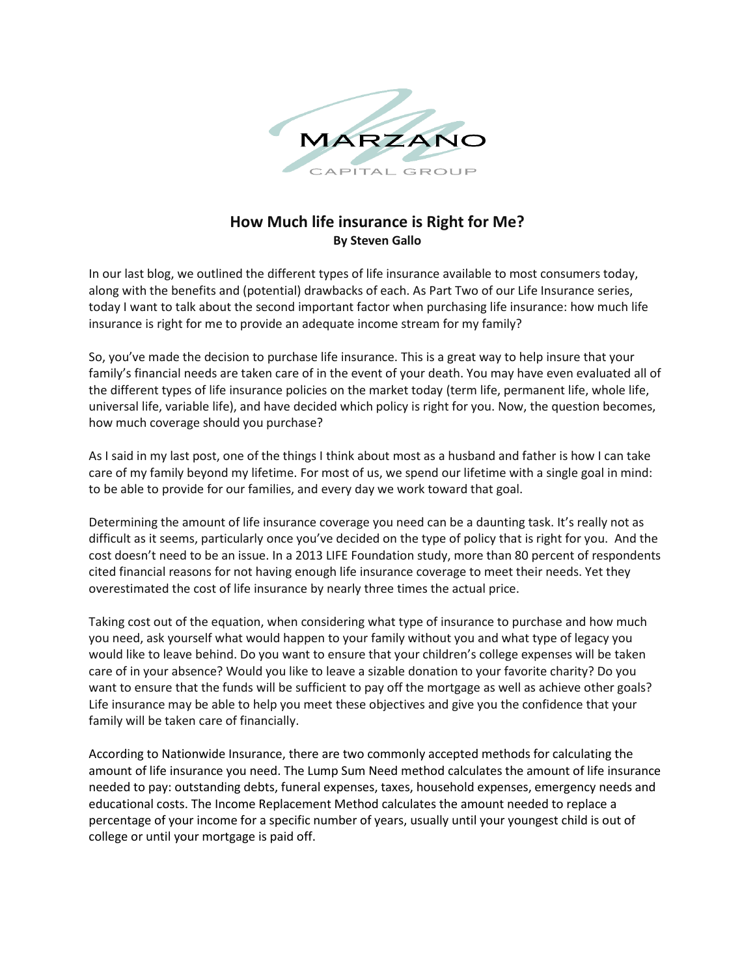

## **How Much life insurance is Right for Me? By Steven Gallo**

In our last blog, we outlined the different types of life insurance available to most consumers today, along with the benefits and (potential) drawbacks of each. As Part Two of our Life Insurance series, today I want to talk about the second important factor when purchasing life insurance: how much life insurance is right for me to provide an adequate income stream for my family?

So, you've made the decision to purchase life insurance. This is a great way to help insure that your family's financial needs are taken care of in the event of your death. You may have even evaluated all of the different types of life insurance policies on the market today (term life, permanent life, whole life, universal life, variable life), and have decided which policy is right for you. Now, the question becomes, how much coverage should you purchase?

As I said in my last post, one of the things I think about most as a husband and father is how I can take care of my family beyond my lifetime. For most of us, we spend our lifetime with a single goal in mind: to be able to provide for our families, and every day we work toward that goal.

Determining the amount of life insurance coverage you need can be a daunting task. It's really not as difficult as it seems, particularly once you've decided on the type of policy that is right for you. And the cost doesn't need to be an issue. In a 2013 LIFE Foundation study, more than 80 percent of respondents cited financial reasons for not having enough life insurance coverage to meet their needs. Yet they overestimated the cost of life insurance by nearly three times the actual price.

Taking cost out of the equation, when considering what type of insurance to purchase and how much you need, ask yourself what would happen to your family without you and what type of legacy you would like to leave behind. Do you want to ensure that your children's college expenses will be taken care of in your absence? Would you like to leave a sizable donation to your favorite charity? Do you want to ensure that the funds will be sufficient to pay off the mortgage as well as achieve other goals? Life insurance may be able to help you meet these objectives and give you the confidence that your family will be taken care of financially.

According to Nationwide Insurance, there are two commonly accepted methods for calculating the amount of life insurance you need. The Lump Sum Need method calculates the amount of life insurance needed to pay: outstanding debts, funeral expenses, taxes, household expenses, emergency needs and educational costs. The Income Replacement Method calculates the amount needed to replace a percentage of your income for a specific number of years, usually until your youngest child is out of college or until your mortgage is paid off.